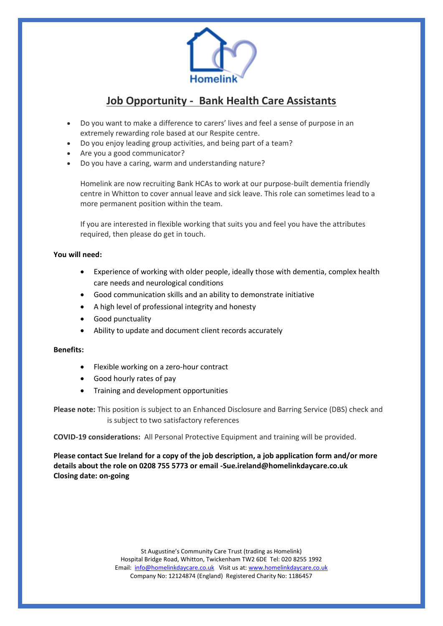

## **Job Opportunity - Bank Health Care Assistants**

- Do you want to make a difference to carers' lives and feel a sense of purpose in an extremely rewarding role based at our Respite centre.
- Do you enjoy leading group activities, and being part of a team?
- Are you a good communicator?
- Do you have a caring, warm and understanding nature?

Homelink are now recruiting Bank HCAs to work at our purpose-built dementia friendly centre in Whitton to cover annual leave and sick leave. This role can sometimes lead to a more permanent position within the team.

If you are interested in flexible working that suits you and feel you have the attributes required, then please do get in touch.

## **You will need:**

- Experience of working with older people, ideally those with dementia, complex health care needs and neurological conditions
- Good communication skills and an ability to demonstrate initiative
- A high level of professional integrity and honesty
- Good punctuality
- Ability to update and document client records accurately

## **Benefits:**

- Flexible working on a zero-hour contract
- Good hourly rates of pay
- Training and development opportunities

**Please note:** This position is subject to an Enhanced Disclosure and Barring Service (DBS) check and is subject to two satisfactory references

**COVID-19 considerations:** All Personal Protective Equipment and training will be provided.

**Please contact Sue Ireland for a copy of the job description, a job application form and/or more details about the role on 0208 755 5773 or email -Sue.ireland@homelinkdaycare.co.uk Closing date: on-going**

> St Augustine's Community Care Trust (trading as Homelink) Hospital Bridge Road, Whitton, Twickenham TW2 6DE Tel: 020 8255 1992 Email: [info@homelinkdaycare.co.uk](mailto:info@homelinkdaycare.co.uk) Visit us at[: www.homelinkdaycare.co.uk](http://www.homelinkdaycare.co.uk/) Company No: 12124874 (England) Registered Charity No: 1186457